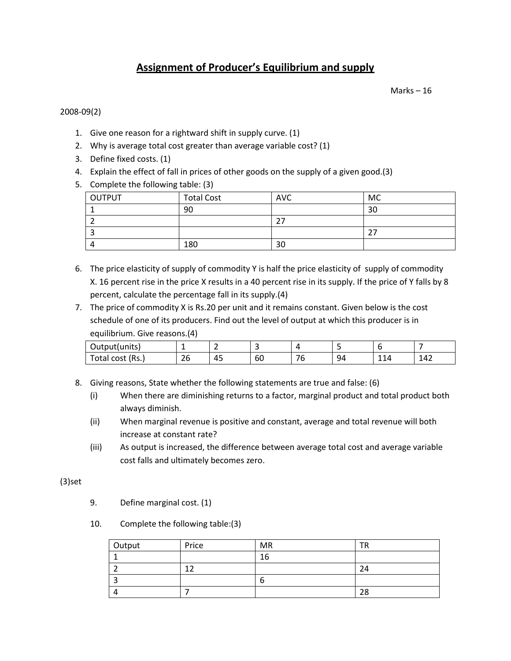# **Assignment of Producer's Equilibrium and supply**

Marks – 16

# 2008-09(2)

- 1. Give one reason for a rightward shift in supply curve. (1)
- 2. Why is average total cost greater than average variable cost? (1)
- 3. Define fixed costs. (1)
- 4. Explain the effect of fall in prices of other goods on the supply of a given good.(3)
- 5. Complete the following table: (3)

| OUTPUT | <b>Total Cost</b> | <b>AVC</b> | MC |
|--------|-------------------|------------|----|
|        | 90                |            | 30 |
|        |                   |            |    |
|        |                   |            | דר |
|        | 180               | 30         |    |

- 6. The price elasticity of supply of commodity Y is half the price elasticity of supply of commodity X. 16 percent rise in the price X results in a 40 percent rise in its supply. If the price of Y falls by 8 percent, calculate the percentage fall in its supply.(4)
- 7. The price of commodity X is Rs.20 per unit and it remains constant. Given below is the cost schedule of one of its producers. Find out the level of output at which this producer is in equilibrium. Give reasons.(4)

| Output(units)    |              | -<br>—                   |    |           |    |                                 |     |
|------------------|--------------|--------------------------|----|-----------|----|---------------------------------|-----|
| Fotal cost (Rs.) | $\sim$<br>Zb | $\Lambda$ $\Gamma$<br>43 | 60 | $ -$<br>υ | 94 | $\overline{\phantom{a}}$<br>114 | 142 |

- 8. Giving reasons, State whether the following statements are true and false: (6)
	- (i) When there are diminishing returns to a factor, marginal product and total product both always diminish.
	- (ii) When marginal revenue is positive and constant, average and total revenue will both increase at constant rate?
	- (iii) As output is increased, the difference between average total cost and average variable cost falls and ultimately becomes zero.

(3)set

- 9. Define marginal cost. (1)
- 10. Complete the following table:(3)

| Output | Price | <b>MR</b> |    |
|--------|-------|-----------|----|
|        |       | 16        |    |
|        | ∽     |           | 24 |
|        |       |           |    |
|        |       |           | 28 |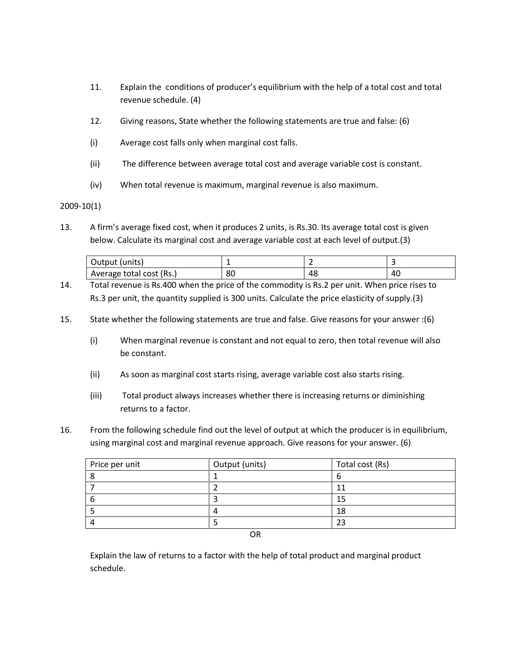- 11. Explain the conditions of producer's equilibrium with the help of a total cost and total revenue schedule. (4)
- 12. Giving reasons, State whether the following statements are true and false: (6)
- (i) Average cost falls only when marginal cost falls.
- (ii) The difference between average total cost and average variable cost is constant.
- (iv) When total revenue is maximum, marginal revenue is also maximum.

2009-10(1)

13. A firm's average fixed cost, when it produces 2 units, is Rs.30. Its average total cost is given below. Calculate its marginal cost and average variable cost at each level of output.(3)

| Output (units)           | . . |    |    |
|--------------------------|-----|----|----|
| Average total cost (Rs.) | 80  | 48 | 40 |

- 14. Total revenue is Rs.400 when the price of the commodity is Rs.2 per unit. When price rises to Rs.3 per unit, the quantity supplied is 300 units. Calculate the price elasticity of supply.(3)
- 15. State whether the following statements are true and false. Give reasons for your answer :(6)
	- (i) When marginal revenue is constant and not equal to zero, then total revenue will also be constant.
	- (ii) As soon as marginal cost starts rising, average variable cost also starts rising.
	- (iii) Total product always increases whether there is increasing returns or diminishing returns to a factor.
- 16. From the following schedule find out the level of output at which the producer is in equilibrium, using marginal cost and marginal revenue approach. Give reasons for your answer. (6)

| Price per unit | Output (units) | Total cost (Rs) |
|----------------|----------------|-----------------|
|                |                |                 |
|                |                |                 |
|                |                | 15              |
|                |                | 18              |
|                |                | 23              |
|                | $\sim$ $\sim$  |                 |

OR

Explain the law of returns to a factor with the help of total product and marginal product schedule.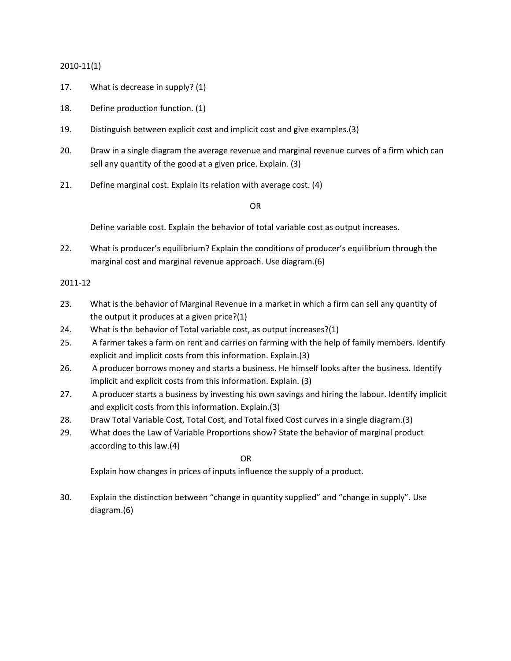## 2010-11(1)

- 17. What is decrease in supply? (1)
- 18. Define production function. (1)
- 19. Distinguish between explicit cost and implicit cost and give examples.(3)
- 20. Draw in a single diagram the average revenue and marginal revenue curves of a firm which can sell any quantity of the good at a given price. Explain. (3)
- 21. Define marginal cost. Explain its relation with average cost. (4)

OR

Define variable cost. Explain the behavior of total variable cost as output increases.

22. What is producer's equilibrium? Explain the conditions of producer's equilibrium through the marginal cost and marginal revenue approach. Use diagram.(6)

#### 2011-12

- 23. What is the behavior of Marginal Revenue in a market in which a firm can sell any quantity of the output it produces at a given price?(1)
- 24. What is the behavior of Total variable cost, as output increases?(1)
- 25. A farmer takes a farm on rent and carries on farming with the help of family members. Identify explicit and implicit costs from this information. Explain.(3)
- 26. A producer borrows money and starts a business. He himself looks after the business. Identify implicit and explicit costs from this information. Explain. (3)
- 27. A producer starts a business by investing his own savings and hiring the labour. Identify implicit and explicit costs from this information. Explain.(3)
- 28. Draw Total Variable Cost, Total Cost, and Total fixed Cost curves in a single diagram.(3)
- 29. What does the Law of Variable Proportions show? State the behavior of marginal product according to this law.(4)

OR

Explain how changes in prices of inputs influence the supply of a product.

30. Explain the distinction between "change in quantity supplied" and "change in supply". Use diagram.(6)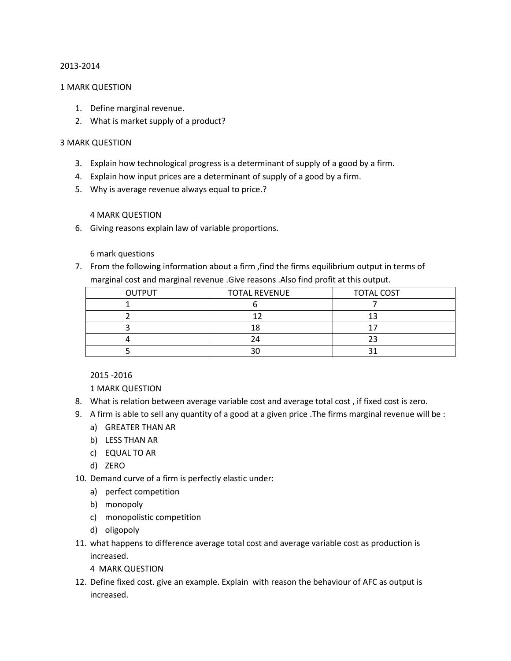#### 2013-2014

#### 1 MARK QUESTION

- 1. Define marginal revenue.
- 2. What is market supply of a product?

#### 3 MARK QUESTION

- 3. Explain how technological progress is a determinant of supply of a good by a firm.
- 4. Explain how input prices are a determinant of supply of a good by a firm.
- 5. Why is average revenue always equal to price.?

## 4 MARK QUESTION

6. Giving reasons explain law of variable proportions.

## 6 mark questions

7. From the following information about a firm ,find the firms equilibrium output in terms of marginal cost and marginal revenue .Give reasons .Also find profit at this output.

| <b>OUTPUT</b> | <b>TOTAL REVENUE</b> | <b>TOTAL COST</b> |
|---------------|----------------------|-------------------|
|               |                      |                   |
|               |                      |                   |
|               |                      |                   |
|               | 24                   |                   |
|               |                      |                   |

2015 -2016

1 MARK QUESTION

- 8. What is relation between average variable cost and average total cost , if fixed cost is zero.
- 9. A firm is able to sell any quantity of a good at a given price .The firms marginal revenue will be :
	- a) GREATER THAN AR
	- b) LESS THAN AR
	- c) EQUAL TO AR
	- d) ZERO
- 10. Demand curve of a firm is perfectly elastic under:
	- a) perfect competition
	- b) monopoly
	- c) monopolistic competition
	- d) oligopoly
- 11. what happens to difference average total cost and average variable cost as production is increased.
	- 4 MARK QUESTION
- 12. Define fixed cost. give an example. Explain with reason the behaviour of AFC as output is increased.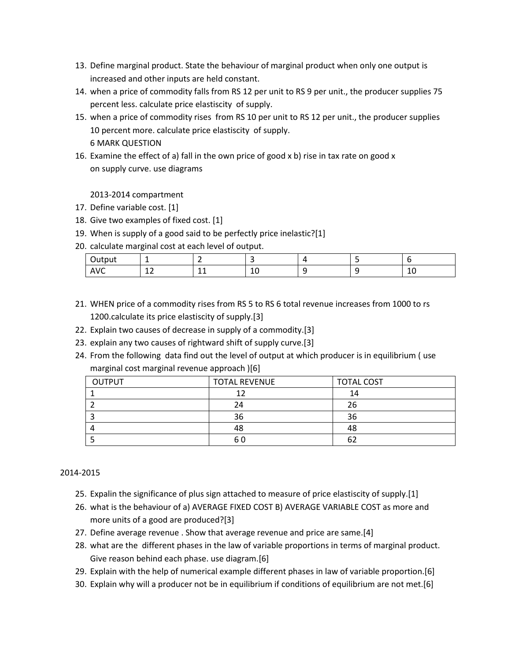- 13. Define marginal product. State the behaviour of marginal product when only one output is increased and other inputs are held constant.
- 14. when a price of commodity falls from RS 12 per unit to RS 9 per unit., the producer supplies 75 percent less. calculate price elastiscity of supply.
- 15. when a price of commodity rises from RS 10 per unit to RS 12 per unit., the producer supplies 10 percent more. calculate price elastiscity of supply. 6 MARK QUESTION
- 16. Examine the effect of a) fall in the own price of good x b) rise in tax rate on good x on supply curve. use diagrams

2013-2014 compartment

- 17. Define variable cost. [1]
- 18. Give two examples of fixed cost. [1]
- 19. When is supply of a good said to be perfectly price inelastic?[1]
- 20. calculate marginal cost at each level of output.

| ∽<br>$1.1 + 0.11$<br>itbut<br>~u                       | -                   |                                       |        |  |   |
|--------------------------------------------------------|---------------------|---------------------------------------|--------|--|---|
| $\Delta$ $\Omega$<br>£<br>$\mathsf{A} \mathsf{v}$<br>╰ | $\sim$<br><u>+4</u> | $\overline{\phantom{a}}$<br>--<br>$-$ | -<br>∸ |  | ᅩ |

- 21. WHEN price of a commodity rises from RS 5 to RS 6 total revenue increases from 1000 to rs 1200.calculate its price elastiscity of supply.[3]
- 22. Explain two causes of decrease in supply of a commodity.[3]
- 23. explain any two causes of rightward shift of supply curve.[3]
- 24. From the following data find out the level of output at which producer is in equilibrium ( use marginal cost marginal revenue approach )[6]

| <b>OUTPUT</b> | <b>TOTAL REVENUE</b> | <b>TOTAL COST</b> |
|---------------|----------------------|-------------------|
|               |                      | 14                |
|               | 24                   | 26                |
|               | 36                   | 36                |
|               | 48                   | 48                |
|               | 6 C                  | 62                |

# 2014-2015

- 25. Expalin the significance of plus sign attached to measure of price elastiscity of supply.[1]
- 26. what is the behaviour of a) AVERAGE FIXED COST B) AVERAGE VARIABLE COST as more and more units of a good are produced?[3]
- 27. Define average revenue . Show that average revenue and price are same.[4]
- 28. what are the different phases in the law of variable proportions in terms of marginal product. Give reason behind each phase. use diagram.[6]
- 29. Explain with the help of numerical example different phases in law of variable proportion.[6]
- 30. Explain why will a producer not be in equilibrium if conditions of equilibrium are not met.[6]